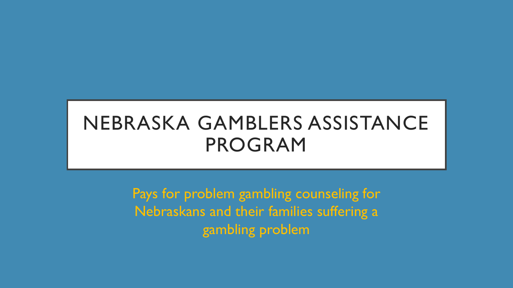# NEBRASKA GAMBLERS ASSISTANCE PROGRAM

Pays for problem gambling counseling for Nebraskans and their families suffering a gambling problem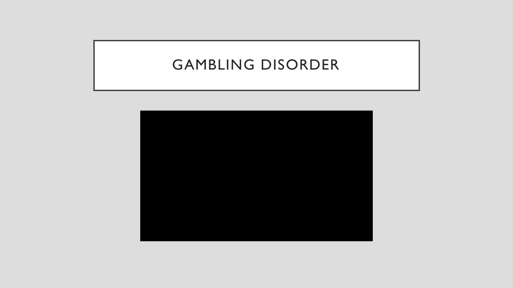## GAMBLING DISORDER

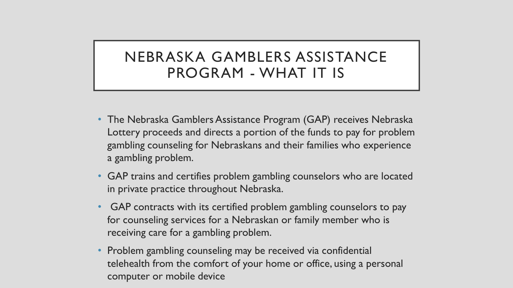### NEBRASKA GAMBLERS ASSISTANCE PROGRAM - WHAT IT IS

- The Nebraska Gamblers Assistance Program (GAP) receives Nebraska Lottery proceeds and directs a portion of the funds to pay for problem gambling counseling for Nebraskans and their families who experience a gambling problem.
- GAP trains and certifies problem gambling counselors who are located in private practice throughout Nebraska.
- GAP contracts with its certified problem gambling counselors to pay for counseling services for a Nebraskan or family member who is receiving care for a gambling problem.
- Problem gambling counseling may be received via confidential telehealth from the comfort of your home or office, using a personal computer or mobile device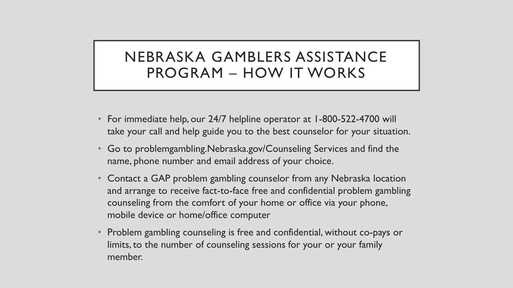### NEBRASKA GAMBLERS ASSISTANCE PROGRAM – HOW IT WORKS

- For immediate help, our 24/7 helpline operator at 1-800-522-4700 will take your call and help guide you to the best counselor for your situation.
- Go to problemgambling.Nebraska.gov/Counseling Services and find the name, phone number and email address of your choice.
- Contact a GAP problem gambling counselor from any Nebraska location and arrange to receive fact-to-face free and confidential problem gambling counseling from the comfort of your home or office via your phone, mobile device or home/office computer
- Problem gambling counseling is free and confidential, without co-pays or limits, to the number of counseling sessions for your or your family member.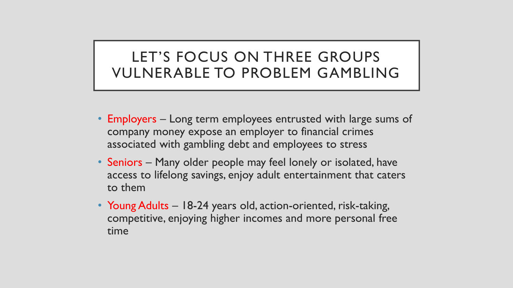## LET'S FOCUS ON THREE GROUPS VULNERABLE TO PROBLEM GAMBLING

- Employers Long term employees entrusted with large sums of company money expose an employer to financial crimes associated with gambling debt and employees to stress
- Seniors Many older people may feel lonely or isolated, have access to lifelong savings, enjoy adult entertainment that caters to them
- Young Adults 18-24 years old, action-oriented, risk-taking, competitive, enjoying higher incomes and more personal free time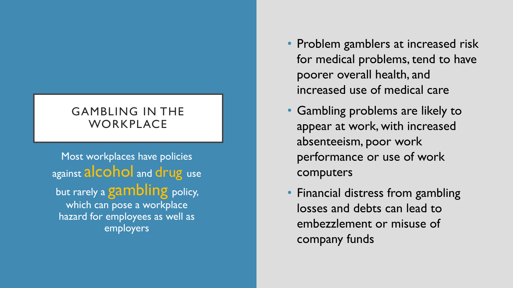### GAMBLING IN THE **WORKPLACE**

Most workplaces have policies against **alcohol** and drug use but rarely a gambling policy, which can pose a workplace hazard for employees as well as employers

- Problem gamblers at increased risk for medical problems, tend to have poorer overall health, and increased use of medical care
- Gambling problems are likely to appear at work, with increased absenteeism, poor work performance or use of work computers
- Financial distress from gambling losses and debts can lead to embezzlement or misuse of company funds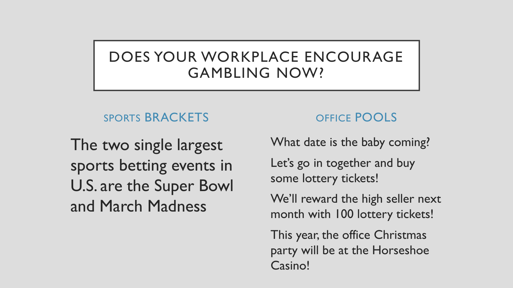## DOES YOUR WORKPLACE ENCOURAGE GAMBLING NOW?

### SPORTS BRACKETS

The two single largest sports betting events in U.S. are the Super Bowl and March Madness

### OFFICE POOLS

What date is the baby coming?

Let's go in together and buy some lottery tickets!

We'll reward the high seller next month with 100 lottery tickets!

This year, the office Christmas party will be at the Horseshoe Casino!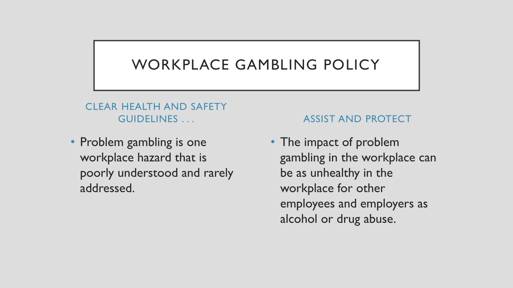## WORKPLACE GAMBLING POLICY

#### CLEAR HEALTH AND SAFETY GUIDELINES . . .

• Problem gambling is one workplace hazard that is poorly understood and rarely addressed.

#### ASSIST AND PROTECT

• The impact of problem gambling in the workplace can be as unhealthy in the workplace for other employees and employers as alcohol or drug abuse.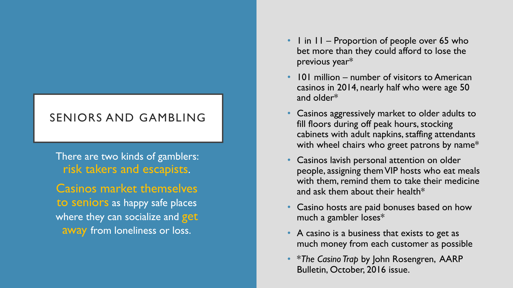### SENIORS AND GAMBLING

There are two kinds of gamblers: risk takers and escapists.

Casinos market themselves to seniors as happy safe places where they can socialize and get away from loneliness or loss.

- I in II Proportion of people over 65 who bet more than they could afford to lose the previous year\*
- 101 million number of visitors to American casinos in 2014, nearly half who were age 50 and older\*
- Casinos aggressively market to older adults to fill floors during off peak hours, stocking cabinets with adult napkins, staffing attendants with wheel chairs who greet patrons by name\*
- Casinos lavish personal attention on older people, assigning them VIP hosts who eat meals with them, remind them to take their medicine and ask them about their health\*
- Casino hosts are paid bonuses based on how much a gambler loses\*
- A casino is a business that exists to get as much money from each customer as possible
- \**The Casino Trap* by John Rosengren, AARP Bulletin, October, 2016 issue.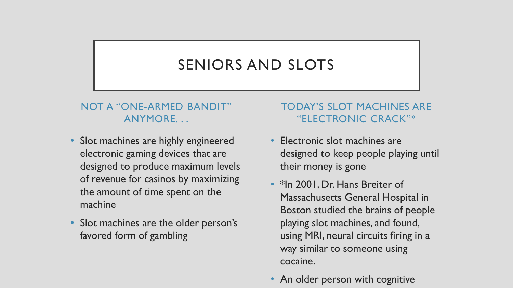## SENIORS AND SLOTS

#### NOT A "ONE-ARMED BANDIT" ANYMORE. . .

- Slot machines are highly engineered electronic gaming devices that are designed to produce maximum levels of revenue for casinos by maximizing the amount of time spent on the machine
- Slot machines are the older person's favored form of gambling

#### TODAY'S SLOT MACHINES ARE "ELECTRONIC CRACK"\*

- Electronic slot machines are designed to keep people playing until their money is gone
- \*In 2001, Dr. Hans Breiter of Massachusetts General Hospital in Boston studied the brains of people playing slot machines, and found, using MRI, neural circuits firing in a way similar to someone using cocaine.
- An older person with cognitive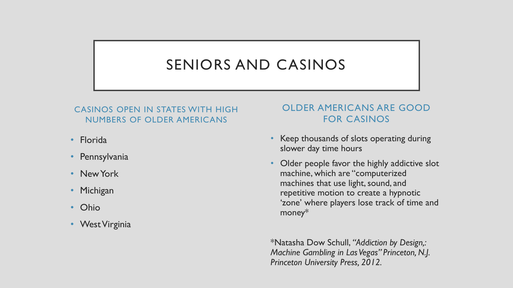# SENIORS AND CASINOS

#### CASINOS OPEN IN STATES WITH HIGH NUMBERS OF OLDER AMERICANS

- Florida
- Pennsylvania
- New York
- Michigan
- Ohio
- West Virginia

#### OLDER AMERICANS ARE GOOD FOR CASINOS

- Keep thousands of slots operating during slower day time hours
- Older people favor the highly addictive slot machine, which are "computerized machines that use light, sound, and repetitive motion to create a hypnotic 'zone' where players lose track of time and money\*

\*Natasha Dow Schull, *"Addiction by Design,: Machine Gambling in Las Vegas" Princeton, N.J. Princeton University Press, 2012.*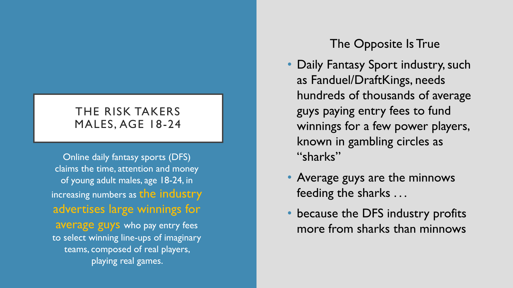### THE RISK TAKERS MALES, AGE 18 -24

Online daily fantasy sports (DFS) claims the time, attention and money of young adult males, age 18 -24, in increasing numbers as the industry advertises large winnings for average guys who pay entry fees to select winning line -ups of imaginary teams, composed of real players, playing real games.

### The Opposite Is True

- Daily Fantasy Sport industry, such as Fanduel /DraftKings, needs hundreds of thousands of average guys paying entry fees to fund winnings for a few power players, known in gambling circles as "sharks"
- Average guys are the minnows feeding the sharks . . .
- because the DFS industry profits more from sharks than minnows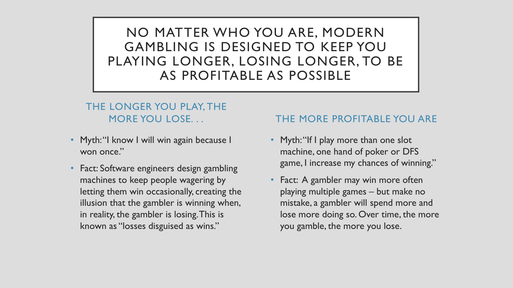NO MATTER WHO YOU ARE, MODERN GAMBLING IS DESIGNED TO KEEP YOU PLAYING LONGER, LOSING LONGER, TO BE AS PROFITABLE AS POSSIBLE

#### THE LONGER YOU PLAY, THE MORE YOU LOSE. . .

- Myth: "I know I will win again because I won once."
- Fact: Software engineers design gambling machines to keep people wagering by letting them win occasionally, creating the illusion that the gambler is winning when, in reality, the gambler is losing. This is known as "losses disguised as wins."

#### THE MORE PROFITABLE YOU ARE

- Myth: "If I play more than one slot machine, one hand of poker or DFS game, I increase my chances of winning."
- Fact: A gambler may win more often playing multiple games – but make no mistake, a gambler will spend more and lose more doing so. Over time, the more you gamble, the more you lose.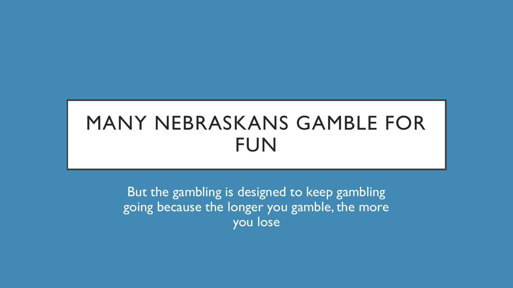# MANY NEBRASKANS GAMBLE FOR FUN

But the gambling is designed to keep gambling going because the longer you gamble, the more you lose